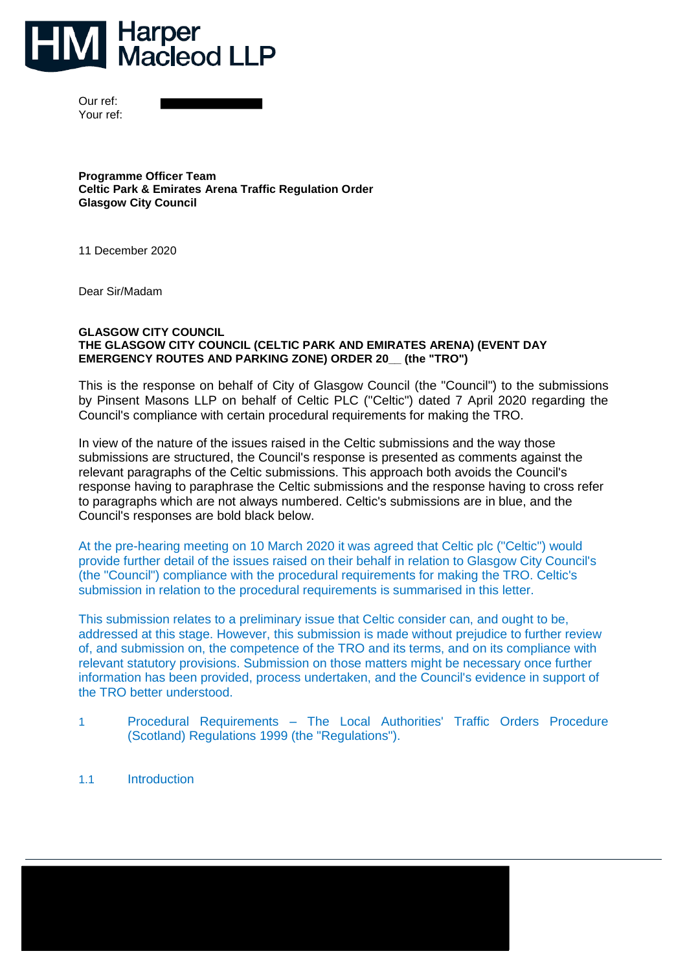

Our ref: Your ref:

**Programme Officer Team Celtic Park & Emirates Arena Traffic Regulation Order Glasgow City Council** 

11 December 2020

Dear Sir/Madam

#### **GLASGOW CITY COUNCIL THE GLASGOW CITY COUNCIL (CELTIC PARK AND EMIRATES ARENA) (EVENT DAY EMERGENCY ROUTES AND PARKING ZONE) ORDER 20\_\_ (the "TRO")**

This is the response on behalf of City of Glasgow Council (the "Council") to the submissions by Pinsent Masons LLP on behalf of Celtic PLC ("Celtic") dated 7 April 2020 regarding the Council's compliance with certain procedural requirements for making the TRO.

In view of the nature of the issues raised in the Celtic submissions and the way those submissions are structured, the Council's response is presented as comments against the relevant paragraphs of the Celtic submissions. This approach both avoids the Council's response having to paraphrase the Celtic submissions and the response having to cross refer to paragraphs which are not always numbered. Celtic's submissions are in blue, and the Council's responses are bold black below.

At the pre-hearing meeting on 10 March 2020 it was agreed that Celtic plc ("Celtic") would provide further detail of the issues raised on their behalf in relation to Glasgow City Council's (the "Council") compliance with the procedural requirements for making the TRO. Celtic's submission in relation to the procedural requirements is summarised in this letter.

This submission relates to a preliminary issue that Celtic consider can, and ought to be, addressed at this stage. However, this submission is made without prejudice to further review of, and submission on, the competence of the TRO and its terms, and on its compliance with relevant statutory provisions. Submission on those matters might be necessary once further information has been provided, process undertaken, and the Council's evidence in support of the TRO better understood.

- 1 Procedural Requirements The Local Authorities' Traffic Orders Procedure (Scotland) Regulations 1999 (the "Regulations").
- 1.1 Introduction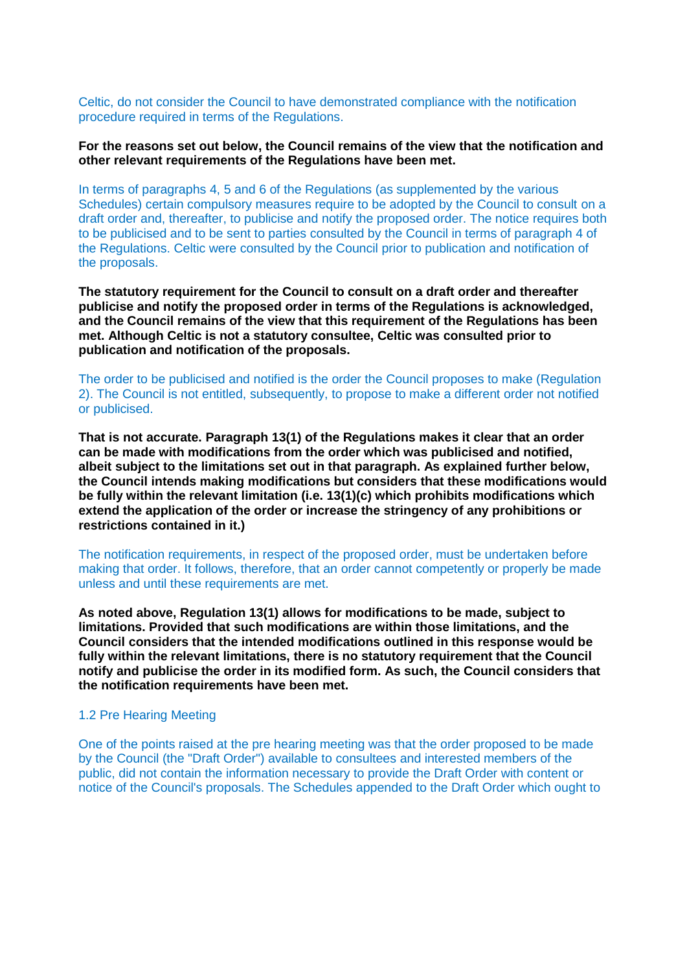Celtic, do not consider the Council to have demonstrated compliance with the notification procedure required in terms of the Regulations.

## **For the reasons set out below, the Council remains of the view that the notification and other relevant requirements of the Regulations have been met.**

In terms of paragraphs 4, 5 and 6 of the Regulations (as supplemented by the various Schedules) certain compulsory measures require to be adopted by the Council to consult on a draft order and, thereafter, to publicise and notify the proposed order. The notice requires both to be publicised and to be sent to parties consulted by the Council in terms of paragraph 4 of the Regulations. Celtic were consulted by the Council prior to publication and notification of the proposals.

**The statutory requirement for the Council to consult on a draft order and thereafter publicise and notify the proposed order in terms of the Regulations is acknowledged, and the Council remains of the view that this requirement of the Regulations has been met. Although Celtic is not a statutory consultee, Celtic was consulted prior to publication and notification of the proposals.** 

The order to be publicised and notified is the order the Council proposes to make (Regulation 2). The Council is not entitled, subsequently, to propose to make a different order not notified or publicised.

**That is not accurate. Paragraph 13(1) of the Regulations makes it clear that an order can be made with modifications from the order which was publicised and notified, albeit subject to the limitations set out in that paragraph. As explained further below, the Council intends making modifications but considers that these modifications would be fully within the relevant limitation (i.e. 13(1)(c) which prohibits modifications which extend the application of the order or increase the stringency of any prohibitions or restrictions contained in it.)**

The notification requirements, in respect of the proposed order, must be undertaken before making that order. It follows, therefore, that an order cannot competently or properly be made unless and until these requirements are met.

**As noted above, Regulation 13(1) allows for modifications to be made, subject to limitations. Provided that such modifications are within those limitations, and the Council considers that the intended modifications outlined in this response would be fully within the relevant limitations, there is no statutory requirement that the Council notify and publicise the order in its modified form. As such, the Council considers that the notification requirements have been met.** 

#### 1.2 Pre Hearing Meeting

One of the points raised at the pre hearing meeting was that the order proposed to be made by the Council (the "Draft Order") available to consultees and interested members of the public, did not contain the information necessary to provide the Draft Order with content or notice of the Council's proposals. The Schedules appended to the Draft Order which ought to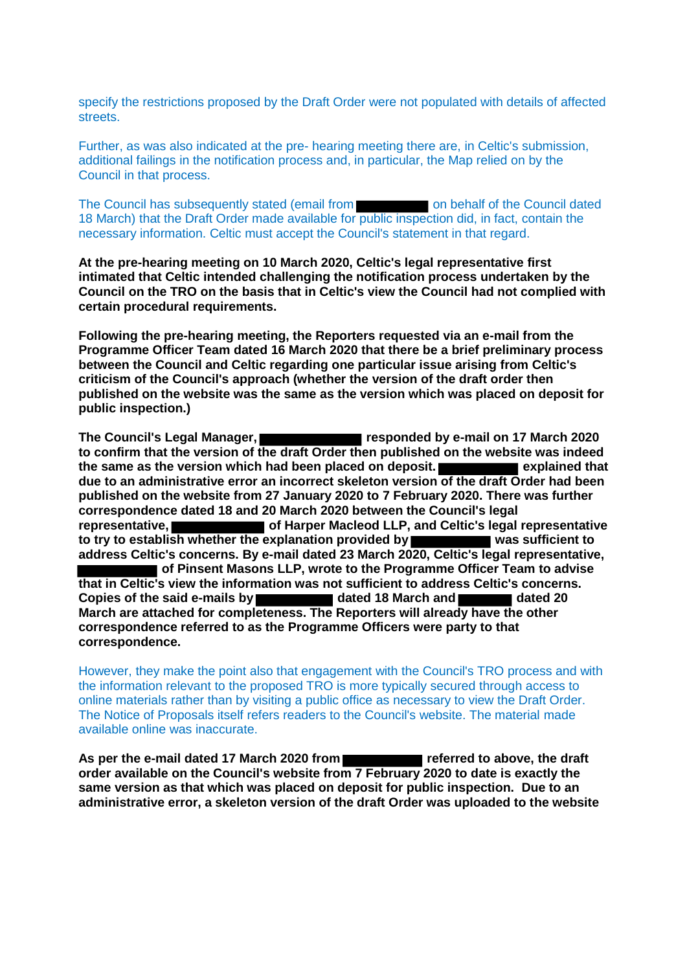specify the restrictions proposed by the Draft Order were not populated with details of affected streets.

Further, as was also indicated at the pre- hearing meeting there are, in Celtic's submission, additional failings in the notification process and, in particular, the Map relied on by the Council in that process.

The Council has subsequently stated (email from **the container to be about the Council dated** 18 March) that the Draft Order made available for public inspection did, in fact, contain the necessary information. Celtic must accept the Council's statement in that regard.

**At the pre-hearing meeting on 10 March 2020, Celtic's legal representative first intimated that Celtic intended challenging the notification process undertaken by the Council on the TRO on the basis that in Celtic's view the Council had not complied with certain procedural requirements.** 

**Following the pre-hearing meeting, the Reporters requested via an e-mail from the Programme Officer Team dated 16 March 2020 that there be a brief preliminary process between the Council and Celtic regarding one particular issue arising from Celtic's criticism of the Council's approach (whether the version of the draft order then published on the website was the same as the version which was placed on deposit for public inspection.)** 

The Council's Legal Manager, **The Council's Legal Manager, The Council's Legal Manager, The Council** responded by e-mail on 17 March 2020 **to confirm that the version of the draft Order then published on the website was indeed the same as the version which had been placed on deposit. Example 20 and 20 and 20 and 20 and 20 and 20 and 20 and 20 and 20 and 20 and 20 and 20 and 20 and 20 and 20 and 20 and 20 and 20 and 20 and 20 and 20 and 20 and due to an administrative error an incorrect skeleton version of the draft Order had been published on the website from 27 January 2020 to 7 February 2020. There was further correspondence dated 18 and 20 March 2020 between the Council's legal**  representative, **of Harper Macleod LLP, and Celtic's legal representative to try to establish whether the explanation provided by was sufficient to address Celtic's concerns. By e-mail dated 23 March 2020, Celtic's legal representative,**  ■ of Pinsent Masons LLP, wrote to the Programme Officer Team to advise **that in Celtic's view the information was not sufficient to address Celtic's concerns. Copies of the said e-mails by dated 18 March and dated 20 March are attached for completeness. The Reporters will already have the other correspondence referred to as the Programme Officers were party to that correspondence.** 

However, they make the point also that engagement with the Council's TRO process and with the information relevant to the proposed TRO is more typically secured through access to online materials rather than by visiting a public office as necessary to view the Draft Order. The Notice of Proposals itself refers readers to the Council's website. The material made available online was inaccurate.

As per the e-mail dated 17 March 2020 from **referred to above, the draft order available on the Council's website from 7 February 2020 to date is exactly the same version as that which was placed on deposit for public inspection. Due to an administrative error, a skeleton version of the draft Order was uploaded to the website**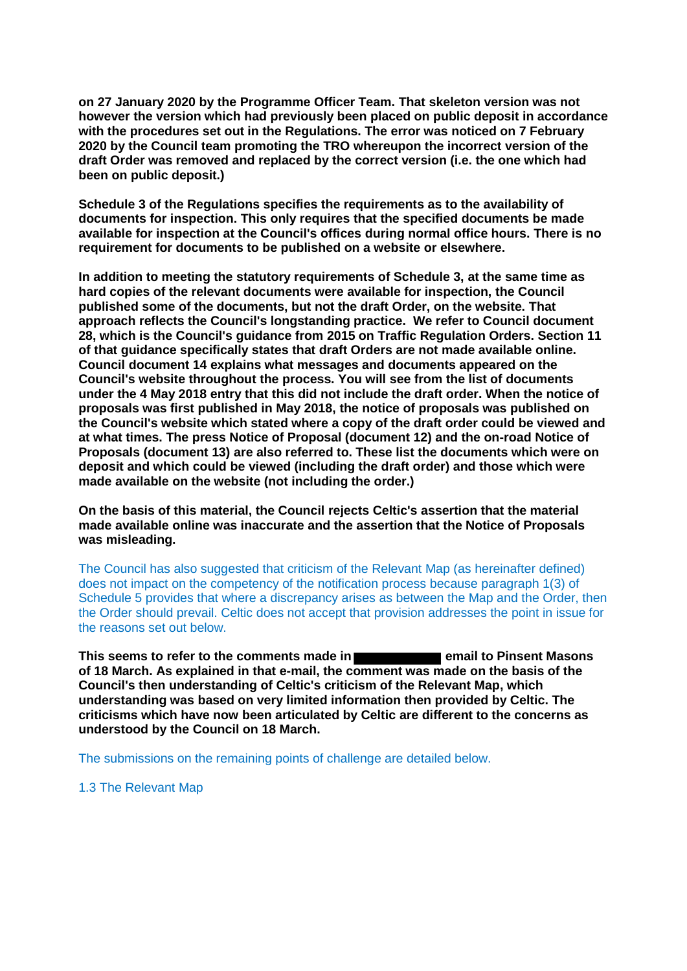**on 27 January 2020 by the Programme Officer Team. That skeleton version was not however the version which had previously been placed on public deposit in accordance with the procedures set out in the Regulations. The error was noticed on 7 February 2020 by the Council team promoting the TRO whereupon the incorrect version of the draft Order was removed and replaced by the correct version (i.e. the one which had been on public deposit.)** 

**Schedule 3 of the Regulations specifies the requirements as to the availability of documents for inspection. This only requires that the specified documents be made available for inspection at the Council's offices during normal office hours. There is no requirement for documents to be published on a website or elsewhere.** 

**In addition to meeting the statutory requirements of Schedule 3, at the same time as hard copies of the relevant documents were available for inspection, the Council published some of the documents, but not the draft Order, on the website. That approach reflects the Council's longstanding practice. We refer to Council document 28, which is the Council's guidance from 2015 on Traffic Regulation Orders. Section 11 of that guidance specifically states that draft Orders are not made available online. Council document 14 explains what messages and documents appeared on the Council's website throughout the process. You will see from the list of documents under the 4 May 2018 entry that this did not include the draft order. When the notice of proposals was first published in May 2018, the notice of proposals was published on the Council's website which stated where a copy of the draft order could be viewed and at what times. The press Notice of Proposal (document 12) and the on-road Notice of Proposals (document 13) are also referred to. These list the documents which were on deposit and which could be viewed (including the draft order) and those which were made available on the website (not including the order.)** 

**On the basis of this material, the Council rejects Celtic's assertion that the material made available online was inaccurate and the assertion that the Notice of Proposals was misleading.** 

The Council has also suggested that criticism of the Relevant Map (as hereinafter defined) does not impact on the competency of the notification process because paragraph 1(3) of Schedule 5 provides that where a discrepancy arises as between the Map and the Order, then the Order should prevail. Celtic does not accept that provision addresses the point in issue for the reasons set out below.

This seems to refer to the comments made in **Election 20 and 10 and 10 and 10 and 10 and 10 and 10 and 10 and 10 and 10 and 10 and 10 and 10 and 10 and 10 and 10 and 10 and 10 and 10 and 10 and 10 and 10 and 10 and 10 and of 18 March. As explained in that e-mail, the comment was made on the basis of the Council's then understanding of Celtic's criticism of the Relevant Map, which understanding was based on very limited information then provided by Celtic. The criticisms which have now been articulated by Celtic are different to the concerns as understood by the Council on 18 March.** 

The submissions on the remaining points of challenge are detailed below.

1.3 The Relevant Map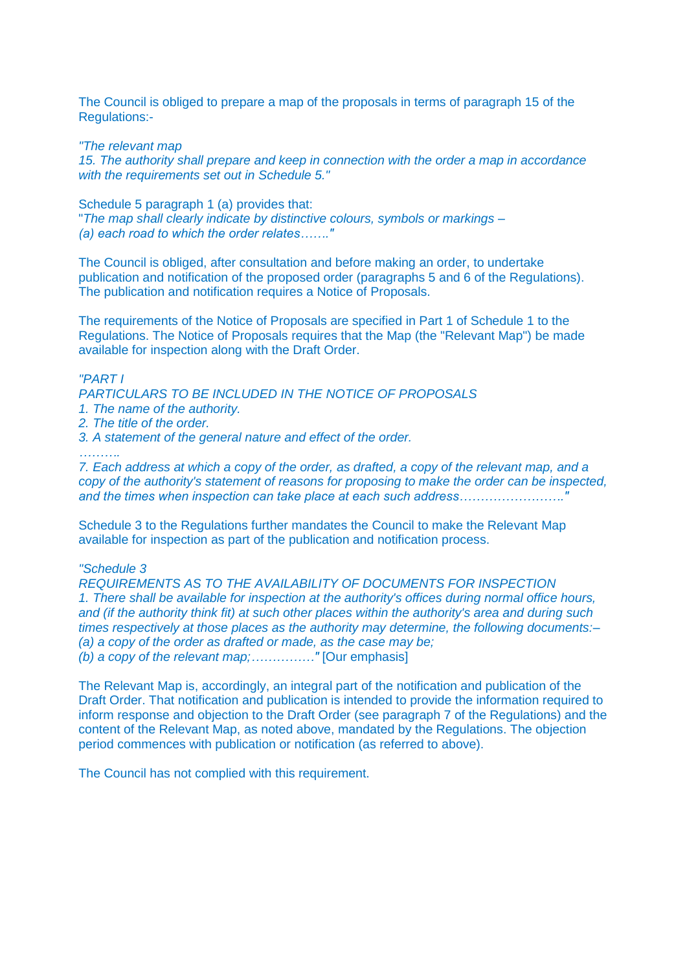The Council is obliged to prepare a map of the proposals in terms of paragraph 15 of the Regulations:-

*"The relevant map* 

*15. The authority shall prepare and keep in connection with the order a map in accordance with the requirements set out in Schedule 5."* 

Schedule 5 paragraph 1 (a) provides that: "*The map shall clearly indicate by distinctive colours, symbols or markings – (a) each road to which the order relates……."* 

The Council is obliged, after consultation and before making an order, to undertake publication and notification of the proposed order (paragraphs 5 and 6 of the Regulations). The publication and notification requires a Notice of Proposals.

The requirements of the Notice of Proposals are specified in Part 1 of Schedule 1 to the Regulations. The Notice of Proposals requires that the Map (the "Relevant Map") be made available for inspection along with the Draft Order.

## *"PART I*

*PARTICULARS TO BE INCLUDED IN THE NOTICE OF PROPOSALS* 

- *1. The name of the authority.*
- *2. The title of the order.*
- *3. A statement of the general nature and effect of the order.*

*……….* 

*7. Each address at which a copy of the order, as drafted, a copy of the relevant map, and a copy of the authority's statement of reasons for proposing to make the order can be inspected, and the times when inspection can take place at each such address……………………."* 

Schedule 3 to the Regulations further mandates the Council to make the Relevant Map available for inspection as part of the publication and notification process.

## *"Schedule 3*

*REQUIREMENTS AS TO THE AVAILABILITY OF DOCUMENTS FOR INSPECTION 1. There shall be available for inspection at the authority's offices during normal office hours, and (if the authority think fit) at such other places within the authority's area and during such times respectively at those places as the authority may determine, the following documents:– (a) a copy of the order as drafted or made, as the case may be; (b) a copy of the relevant map;……………"* [Our emphasis]

The Relevant Map is, accordingly, an integral part of the notification and publication of the Draft Order. That notification and publication is intended to provide the information required to inform response and objection to the Draft Order (see paragraph 7 of the Regulations) and the content of the Relevant Map, as noted above, mandated by the Regulations. The objection period commences with publication or notification (as referred to above).

The Council has not complied with this requirement.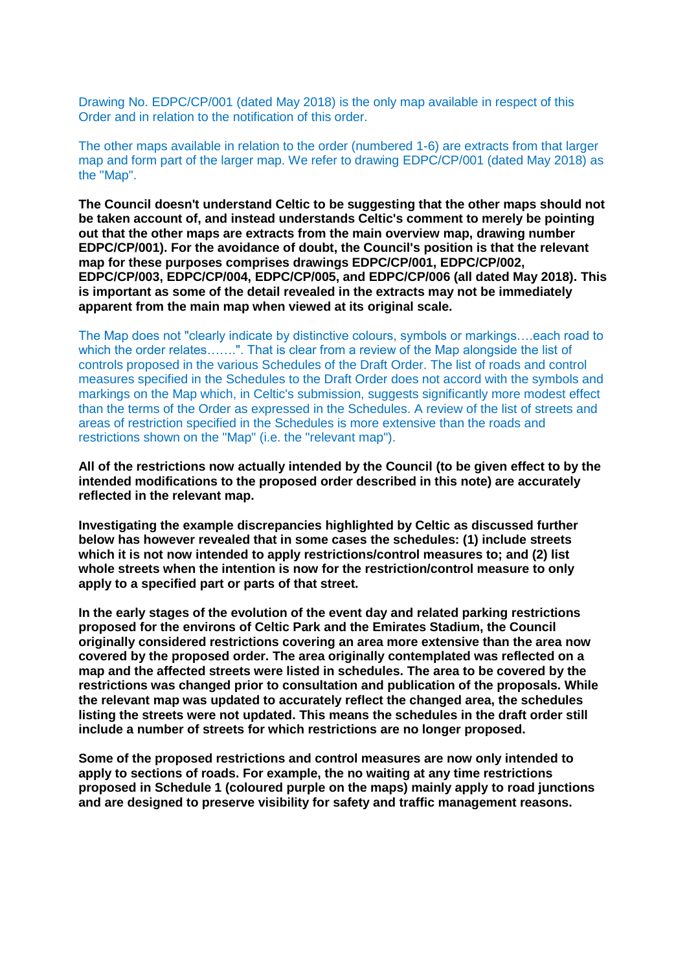Drawing No. EDPC/CP/001 (dated May 2018) is the only map available in respect of this Order and in relation to the notification of this order.

The other maps available in relation to the order (numbered 1-6) are extracts from that larger map and form part of the larger map. We refer to drawing EDPC/CP/001 (dated May 2018) as the "Map".

**The Council doesn't understand Celtic to be suggesting that the other maps should not be taken account of, and instead understands Celtic's comment to merely be pointing out that the other maps are extracts from the main overview map, drawing number EDPC/CP/001). For the avoidance of doubt, the Council's position is that the relevant map for these purposes comprises drawings EDPC/CP/001, EDPC/CP/002, EDPC/CP/003, EDPC/CP/004, EDPC/CP/005, and EDPC/CP/006 (all dated May 2018). This is important as some of the detail revealed in the extracts may not be immediately apparent from the main map when viewed at its original scale.** 

The Map does not "clearly indicate by distinctive colours, symbols or markings….each road to which the order relates…….". That is clear from a review of the Map alongside the list of controls proposed in the various Schedules of the Draft Order. The list of roads and control measures specified in the Schedules to the Draft Order does not accord with the symbols and markings on the Map which, in Celtic's submission, suggests significantly more modest effect than the terms of the Order as expressed in the Schedules. A review of the list of streets and areas of restriction specified in the Schedules is more extensive than the roads and restrictions shown on the "Map" (i.e. the "relevant map").

**All of the restrictions now actually intended by the Council (to be given effect to by the intended modifications to the proposed order described in this note) are accurately reflected in the relevant map.**

**Investigating the example discrepancies highlighted by Celtic as discussed further below has however revealed that in some cases the schedules: (1) include streets which it is not now intended to apply restrictions/control measures to; and (2) list whole streets when the intention is now for the restriction/control measure to only apply to a specified part or parts of that street.** 

**In the early stages of the evolution of the event day and related parking restrictions proposed for the environs of Celtic Park and the Emirates Stadium, the Council originally considered restrictions covering an area more extensive than the area now covered by the proposed order. The area originally contemplated was reflected on a map and the affected streets were listed in schedules. The area to be covered by the restrictions was changed prior to consultation and publication of the proposals. While the relevant map was updated to accurately reflect the changed area, the schedules listing the streets were not updated. This means the schedules in the draft order still include a number of streets for which restrictions are no longer proposed.** 

**Some of the proposed restrictions and control measures are now only intended to apply to sections of roads. For example, the no waiting at any time restrictions proposed in Schedule 1 (coloured purple on the maps) mainly apply to road junctions and are designed to preserve visibility for safety and traffic management reasons.**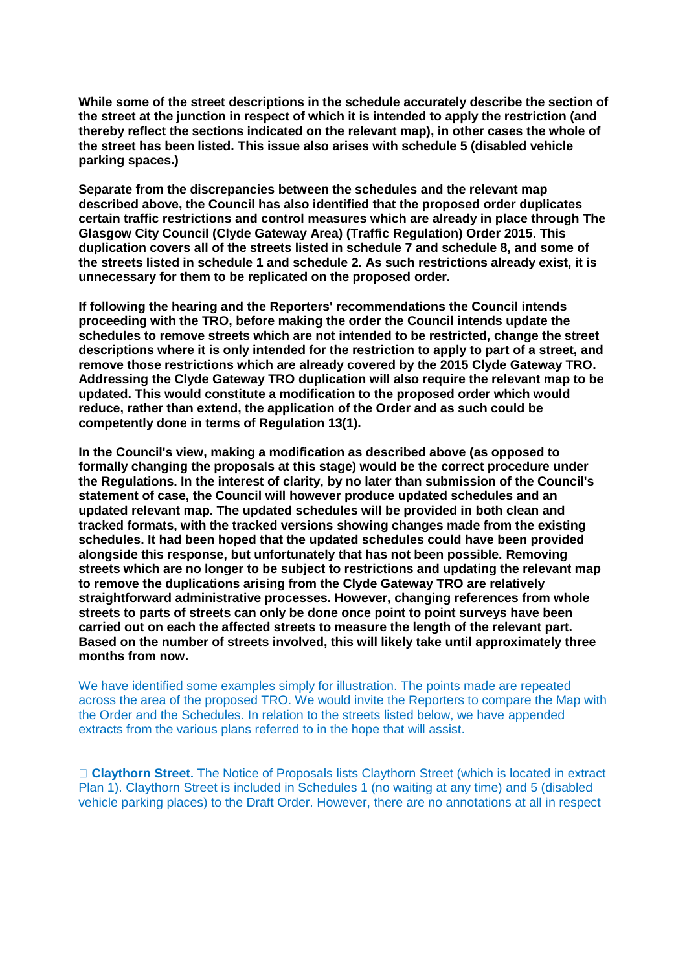**While some of the street descriptions in the schedule accurately describe the section of the street at the junction in respect of which it is intended to apply the restriction (and thereby reflect the sections indicated on the relevant map), in other cases the whole of the street has been listed. This issue also arises with schedule 5 (disabled vehicle parking spaces.)**

**Separate from the discrepancies between the schedules and the relevant map described above, the Council has also identified that the proposed order duplicates certain traffic restrictions and control measures which are already in place through The Glasgow City Council (Clyde Gateway Area) (Traffic Regulation) Order 2015. This duplication covers all of the streets listed in schedule 7 and schedule 8, and some of the streets listed in schedule 1 and schedule 2. As such restrictions already exist, it is unnecessary for them to be replicated on the proposed order.** 

**If following the hearing and the Reporters' recommendations the Council intends proceeding with the TRO, before making the order the Council intends update the schedules to remove streets which are not intended to be restricted, change the street descriptions where it is only intended for the restriction to apply to part of a street, and remove those restrictions which are already covered by the 2015 Clyde Gateway TRO. Addressing the Clyde Gateway TRO duplication will also require the relevant map to be updated. This would constitute a modification to the proposed order which would reduce, rather than extend, the application of the Order and as such could be competently done in terms of Regulation 13(1).** 

**In the Council's view, making a modification as described above (as opposed to formally changing the proposals at this stage) would be the correct procedure under the Regulations. In the interest of clarity, by no later than submission of the Council's statement of case, the Council will however produce updated schedules and an updated relevant map. The updated schedules will be provided in both clean and tracked formats, with the tracked versions showing changes made from the existing schedules. It had been hoped that the updated schedules could have been provided alongside this response, but unfortunately that has not been possible. Removing streets which are no longer to be subject to restrictions and updating the relevant map to remove the duplications arising from the Clyde Gateway TRO are relatively straightforward administrative processes. However, changing references from whole streets to parts of streets can only be done once point to point surveys have been carried out on each the affected streets to measure the length of the relevant part. Based on the number of streets involved, this will likely take until approximately three months from now.**

We have identified some examples simply for illustration. The points made are repeated across the area of the proposed TRO. We would invite the Reporters to compare the Map with the Order and the Schedules. In relation to the streets listed below, we have appended extracts from the various plans referred to in the hope that will assist.

**Claythorn Street.** The Notice of Proposals lists Claythorn Street (which is located in extract Plan 1). Claythorn Street is included in Schedules 1 (no waiting at any time) and 5 (disabled vehicle parking places) to the Draft Order. However, there are no annotations at all in respect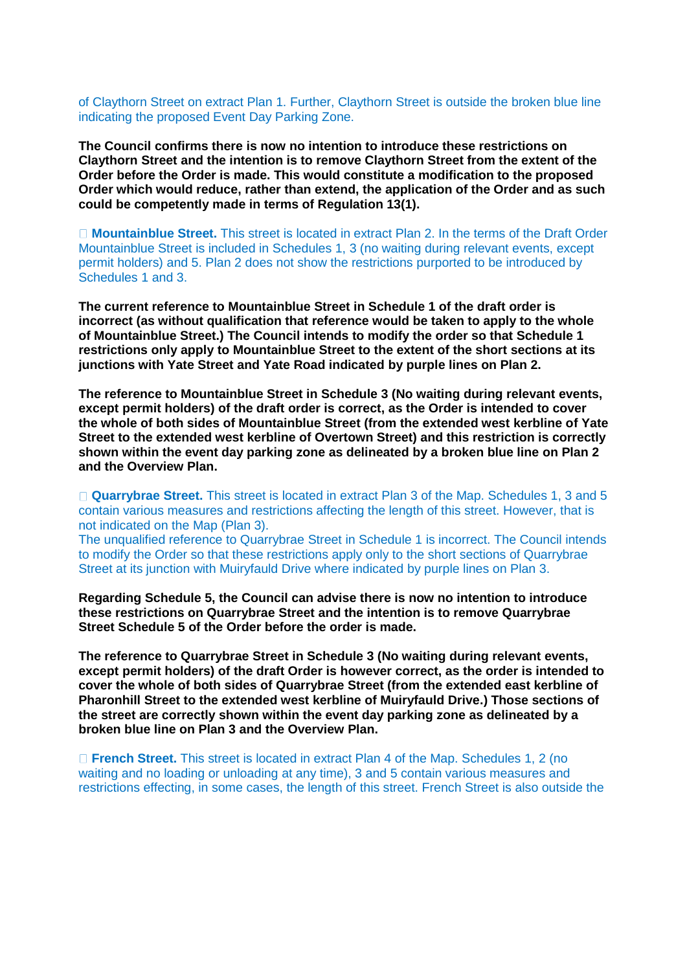of Claythorn Street on extract Plan 1. Further, Claythorn Street is outside the broken blue line indicating the proposed Event Day Parking Zone.

**The Council confirms there is now no intention to introduce these restrictions on Claythorn Street and the intention is to remove Claythorn Street from the extent of the Order before the Order is made. This would constitute a modification to the proposed Order which would reduce, rather than extend, the application of the Order and as such could be competently made in terms of Regulation 13(1).** 

**Mountainblue Street.** This street is located in extract Plan 2. In the terms of the Draft Order Mountainblue Street is included in Schedules 1, 3 (no waiting during relevant events, except permit holders) and 5. Plan 2 does not show the restrictions purported to be introduced by Schedules 1 and 3.

**The current reference to Mountainblue Street in Schedule 1 of the draft order is incorrect (as without qualification that reference would be taken to apply to the whole of Mountainblue Street.) The Council intends to modify the order so that Schedule 1 restrictions only apply to Mountainblue Street to the extent of the short sections at its junctions with Yate Street and Yate Road indicated by purple lines on Plan 2.** 

**The reference to Mountainblue Street in Schedule 3 (No waiting during relevant events, except permit holders) of the draft order is correct, as the Order is intended to cover the whole of both sides of Mountainblue Street (from the extended west kerbline of Yate Street to the extended west kerbline of Overtown Street) and this restriction is correctly shown within the event day parking zone as delineated by a broken blue line on Plan 2 and the Overview Plan.**

□ **Quarrybrae Street.** This street is located in extract Plan 3 of the Map. Schedules 1, 3 and 5 contain various measures and restrictions affecting the length of this street. However, that is not indicated on the Map (Plan 3).

The unqualified reference to Quarrybrae Street in Schedule 1 is incorrect. The Council intends to modify the Order so that these restrictions apply only to the short sections of Quarrybrae Street at its junction with Muiryfauld Drive where indicated by purple lines on Plan 3.

**Regarding Schedule 5, the Council can advise there is now no intention to introduce these restrictions on Quarrybrae Street and the intention is to remove Quarrybrae Street Schedule 5 of the Order before the order is made.**

**The reference to Quarrybrae Street in Schedule 3 (No waiting during relevant events, except permit holders) of the draft Order is however correct, as the order is intended to cover the whole of both sides of Quarrybrae Street (from the extended east kerbline of Pharonhill Street to the extended west kerbline of Muiryfauld Drive.) Those sections of the street are correctly shown within the event day parking zone as delineated by a broken blue line on Plan 3 and the Overview Plan.**

**French Street.** This street is located in extract Plan 4 of the Map. Schedules 1, 2 (no waiting and no loading or unloading at any time), 3 and 5 contain various measures and restrictions effecting, in some cases, the length of this street. French Street is also outside the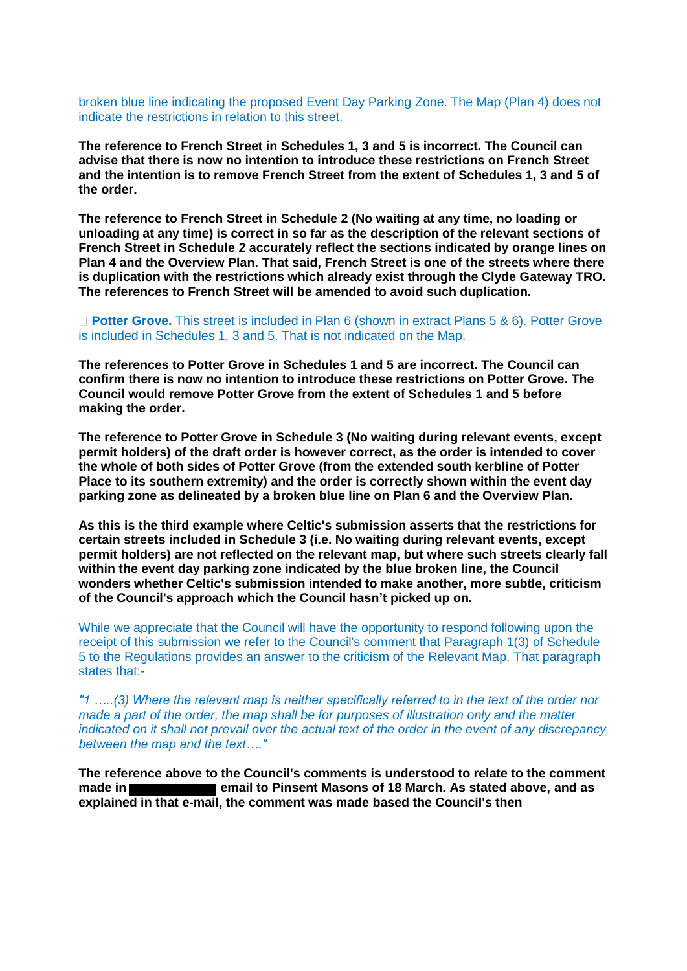broken blue line indicating the proposed Event Day Parking Zone. The Map (Plan 4) does not indicate the restrictions in relation to this street.

**The reference to French Street in Schedules 1, 3 and 5 is incorrect. The Council can advise that there is now no intention to introduce these restrictions on French Street and the intention is to remove French Street from the extent of Schedules 1, 3 and 5 of the order.** 

**The reference to French Street in Schedule 2 (No waiting at any time, no loading or unloading at any time) is correct in so far as the description of the relevant sections of French Street in Schedule 2 accurately reflect the sections indicated by orange lines on Plan 4 and the Overview Plan. That said, French Street is one of the streets where there is duplication with the restrictions which already exist through the Clyde Gateway TRO. The references to French Street will be amended to avoid such duplication.** 

## **Potter Grove.** This street is included in Plan 6 (shown in extract Plans 5 & 6). Potter Grove is included in Schedules 1, 3 and 5. That is not indicated on the Map.

**The references to Potter Grove in Schedules 1 and 5 are incorrect. The Council can confirm there is now no intention to introduce these restrictions on Potter Grove. The Council would remove Potter Grove from the extent of Schedules 1 and 5 before making the order.** 

**The reference to Potter Grove in Schedule 3 (No waiting during relevant events, except permit holders) of the draft order is however correct, as the order is intended to cover the whole of both sides of Potter Grove (from the extended south kerbline of Potter Place to its southern extremity) and the order is correctly shown within the event day parking zone as delineated by a broken blue line on Plan 6 and the Overview Plan.** 

**As this is the third example where Celtic's submission asserts that the restrictions for certain streets included in Schedule 3 (i.e. No waiting during relevant events, except permit holders) are not reflected on the relevant map, but where such streets clearly fall within the event day parking zone indicated by the blue broken line, the Council wonders whether Celtic's submission intended to make another, more subtle, criticism of the Council's approach which the Council hasn't picked up on.** 

While we appreciate that the Council will have the opportunity to respond following upon the receipt of this submission we refer to the Council's comment that Paragraph 1(3) of Schedule 5 to the Regulations provides an answer to the criticism of the Relevant Map. That paragraph states that:-

*"1 …..(3) Where the relevant map is neither specifically referred to in the text of the order nor made a part of the order, the map shall be for purposes of illustration only and the matter indicated on it shall not prevail over the actual text of the order in the event of any discrepancy between the map and the text…."* 

**The reference above to the Council's comments is understood to relate to the comment made in email to Pinsent Masons of 18 March. As stated above, and as explained in that e-mail, the comment was made based the Council's then**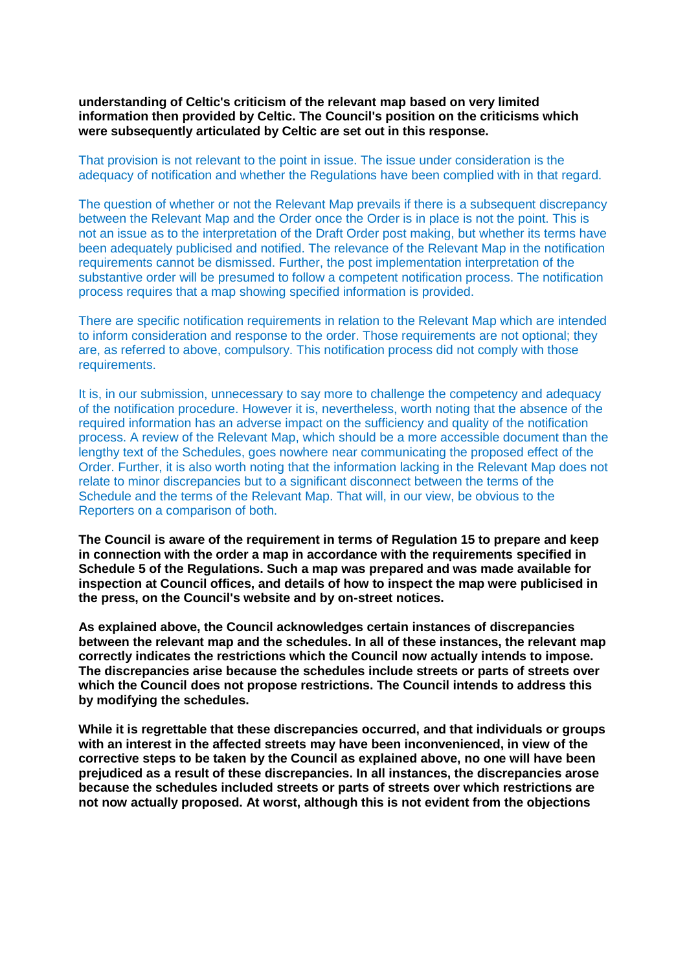**understanding of Celtic's criticism of the relevant map based on very limited information then provided by Celtic. The Council's position on the criticisms which were subsequently articulated by Celtic are set out in this response.** 

That provision is not relevant to the point in issue. The issue under consideration is the adequacy of notification and whether the Regulations have been complied with in that regard.

The question of whether or not the Relevant Map prevails if there is a subsequent discrepancy between the Relevant Map and the Order once the Order is in place is not the point. This is not an issue as to the interpretation of the Draft Order post making, but whether its terms have been adequately publicised and notified. The relevance of the Relevant Map in the notification requirements cannot be dismissed. Further, the post implementation interpretation of the substantive order will be presumed to follow a competent notification process. The notification process requires that a map showing specified information is provided.

There are specific notification requirements in relation to the Relevant Map which are intended to inform consideration and response to the order. Those requirements are not optional; they are, as referred to above, compulsory. This notification process did not comply with those requirements.

It is, in our submission, unnecessary to say more to challenge the competency and adequacy of the notification procedure. However it is, nevertheless, worth noting that the absence of the required information has an adverse impact on the sufficiency and quality of the notification process. A review of the Relevant Map, which should be a more accessible document than the lengthy text of the Schedules, goes nowhere near communicating the proposed effect of the Order. Further, it is also worth noting that the information lacking in the Relevant Map does not relate to minor discrepancies but to a significant disconnect between the terms of the Schedule and the terms of the Relevant Map. That will, in our view, be obvious to the Reporters on a comparison of both.

**The Council is aware of the requirement in terms of Regulation 15 to prepare and keep in connection with the order a map in accordance with the requirements specified in Schedule 5 of the Regulations. Such a map was prepared and was made available for inspection at Council offices, and details of how to inspect the map were publicised in the press, on the Council's website and by on-street notices.** 

**As explained above, the Council acknowledges certain instances of discrepancies between the relevant map and the schedules. In all of these instances, the relevant map correctly indicates the restrictions which the Council now actually intends to impose. The discrepancies arise because the schedules include streets or parts of streets over which the Council does not propose restrictions. The Council intends to address this by modifying the schedules.**

**While it is regrettable that these discrepancies occurred, and that individuals or groups with an interest in the affected streets may have been inconvenienced, in view of the corrective steps to be taken by the Council as explained above, no one will have been prejudiced as a result of these discrepancies. In all instances, the discrepancies arose because the schedules included streets or parts of streets over which restrictions are not now actually proposed. At worst, although this is not evident from the objections**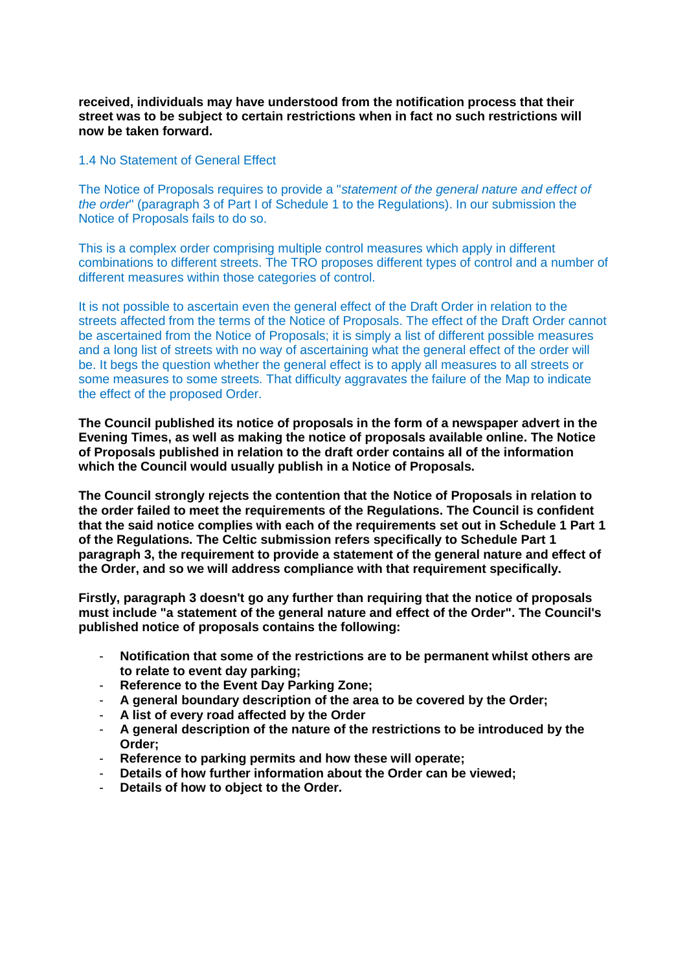**received, individuals may have understood from the notification process that their street was to be subject to certain restrictions when in fact no such restrictions will now be taken forward.**

# 1.4 No Statement of General Effect

The Notice of Proposals requires to provide a "*statement of the general nature and effect of the order*" (paragraph 3 of Part I of Schedule 1 to the Regulations). In our submission the Notice of Proposals fails to do so.

This is a complex order comprising multiple control measures which apply in different combinations to different streets. The TRO proposes different types of control and a number of different measures within those categories of control.

It is not possible to ascertain even the general effect of the Draft Order in relation to the streets affected from the terms of the Notice of Proposals. The effect of the Draft Order cannot be ascertained from the Notice of Proposals; it is simply a list of different possible measures and a long list of streets with no way of ascertaining what the general effect of the order will be. It begs the question whether the general effect is to apply all measures to all streets or some measures to some streets. That difficulty aggravates the failure of the Map to indicate the effect of the proposed Order.

**The Council published its notice of proposals in the form of a newspaper advert in the Evening Times, as well as making the notice of proposals available online. The Notice of Proposals published in relation to the draft order contains all of the information which the Council would usually publish in a Notice of Proposals.** 

**The Council strongly rejects the contention that the Notice of Proposals in relation to the order failed to meet the requirements of the Regulations. The Council is confident that the said notice complies with each of the requirements set out in Schedule 1 Part 1 of the Regulations. The Celtic submission refers specifically to Schedule Part 1 paragraph 3, the requirement to provide a statement of the general nature and effect of the Order, and so we will address compliance with that requirement specifically.**

**Firstly, paragraph 3 doesn't go any further than requiring that the notice of proposals must include "a statement of the general nature and effect of the Order". The Council's published notice of proposals contains the following:**

- **Notification that some of the restrictions are to be permanent whilst others are to relate to event day parking;**
- **Reference to the Event Day Parking Zone;**
- **A general boundary description of the area to be covered by the Order;**
- **A list of every road affected by the Order**
- **A general description of the nature of the restrictions to be introduced by the Order;**
- **Reference to parking permits and how these will operate;**
- **Details of how further information about the Order can be viewed;**
- Details of how to object to the Order.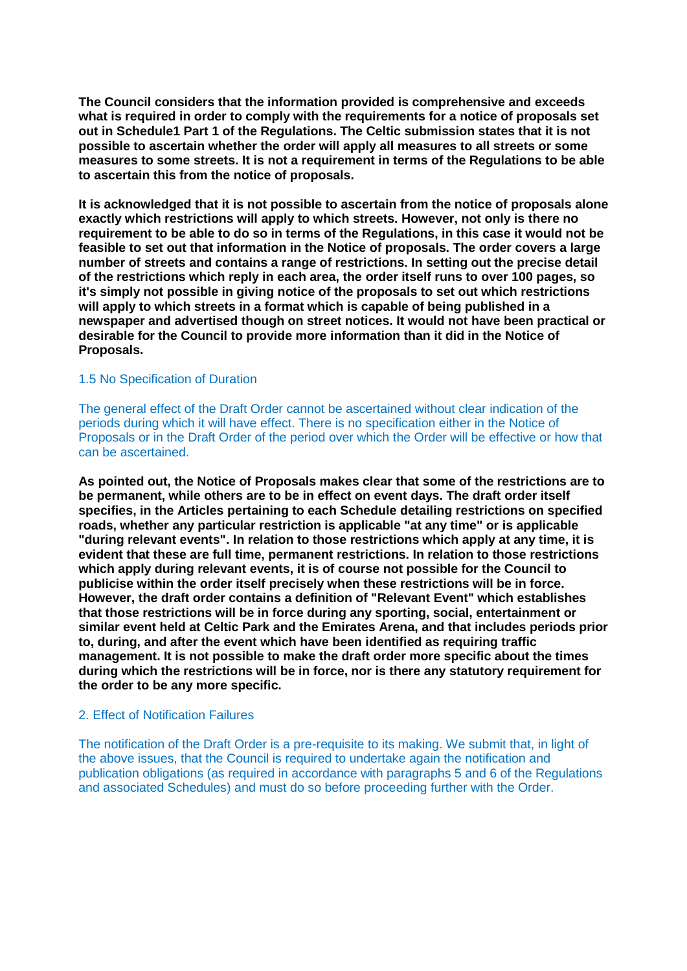**The Council considers that the information provided is comprehensive and exceeds what is required in order to comply with the requirements for a notice of proposals set out in Schedule1 Part 1 of the Regulations. The Celtic submission states that it is not possible to ascertain whether the order will apply all measures to all streets or some measures to some streets. It is not a requirement in terms of the Regulations to be able to ascertain this from the notice of proposals.**

**It is acknowledged that it is not possible to ascertain from the notice of proposals alone exactly which restrictions will apply to which streets. However, not only is there no requirement to be able to do so in terms of the Regulations, in this case it would not be feasible to set out that information in the Notice of proposals. The order covers a large number of streets and contains a range of restrictions. In setting out the precise detail of the restrictions which reply in each area, the order itself runs to over 100 pages, so it's simply not possible in giving notice of the proposals to set out which restrictions will apply to which streets in a format which is capable of being published in a newspaper and advertised though on street notices. It would not have been practical or desirable for the Council to provide more information than it did in the Notice of Proposals.**

# 1.5 No Specification of Duration

The general effect of the Draft Order cannot be ascertained without clear indication of the periods during which it will have effect. There is no specification either in the Notice of Proposals or in the Draft Order of the period over which the Order will be effective or how that can be ascertained.

**As pointed out, the Notice of Proposals makes clear that some of the restrictions are to be permanent, while others are to be in effect on event days. The draft order itself specifies, in the Articles pertaining to each Schedule detailing restrictions on specified roads, whether any particular restriction is applicable "at any time" or is applicable "during relevant events". In relation to those restrictions which apply at any time, it is evident that these are full time, permanent restrictions. In relation to those restrictions which apply during relevant events, it is of course not possible for the Council to publicise within the order itself precisely when these restrictions will be in force. However, the draft order contains a definition of "Relevant Event" which establishes that those restrictions will be in force during any sporting, social, entertainment or similar event held at Celtic Park and the Emirates Arena, and that includes periods prior to, during, and after the event which have been identified as requiring traffic management. It is not possible to make the draft order more specific about the times during which the restrictions will be in force, nor is there any statutory requirement for the order to be any more specific.** 

#### 2. Effect of Notification Failures

The notification of the Draft Order is a pre-requisite to its making. We submit that, in light of the above issues, that the Council is required to undertake again the notification and publication obligations (as required in accordance with paragraphs 5 and 6 of the Regulations and associated Schedules) and must do so before proceeding further with the Order.